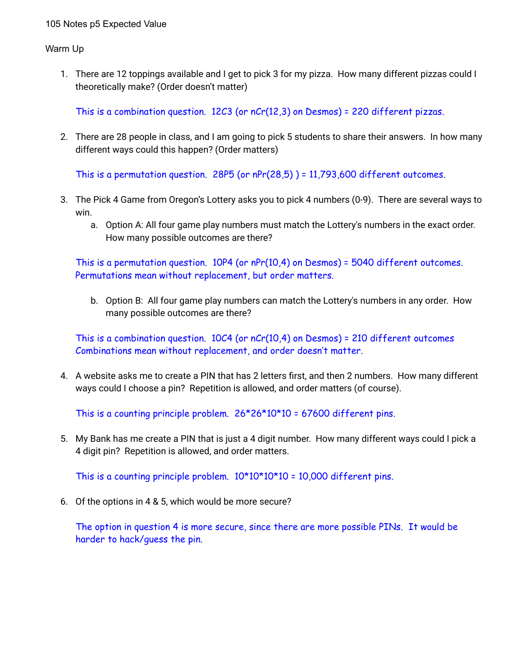Warm Up

1. There are 12 toppings available and I get to pick 3 for my pizza. How many different pizzas could I theoretically make? (Order doesn't matter)

This is a combination question. 12C3 (or nCr(12,3) on Desmos) = 220 different pizzas.

2. There are 28 people in class, and I am going to pick 5 students to share their answers. In how many different ways could this happen? (Order matters)

This is a permutation question. 28P5 (or  $nPr(28,5)$ ) = 11,793,600 different outcomes.

- 3. The Pick 4 Game from Oregon's Lottery asks you to pick 4 numbers (0-9). There are several ways to win.
	- a. Option A: All four game play numbers must match the Lottery's numbers in the exact order. How many possible outcomes are there?

This is a permutation question. 10P4 (or nPr(10,4) on Desmos) = 5040 different outcomes. Permutations mean without replacement, but order matters.

b. Option B: All four game play numbers can match the Lottery's numbers in any order. How many possible outcomes are there?

This is a combination question. 10C4 (or nCr(10,4) on Desmos) = 210 different outcomes Combinations mean without replacement, and order doesn't matter.

4. A website asks me to create a PIN that has 2 letters first, and then 2 numbers. How many different ways could I choose a pin? Repetition is allowed, and order matters (of course).

This is a counting principle problem.  $26*26*10*10 = 67600$  different pins.

5. My Bank has me create a PIN that is just a 4 digit number. How many different ways could I pick a 4 digit pin? Repetition is allowed, and order matters.

This is a counting principle problem.  $10*10*10*10 = 10,000$  different pins.

6. Of the options in 4 & 5, which would be more secure?

The option in question 4 is more secure, since there are more possible PINs. It would be harder to hack/guess the pin.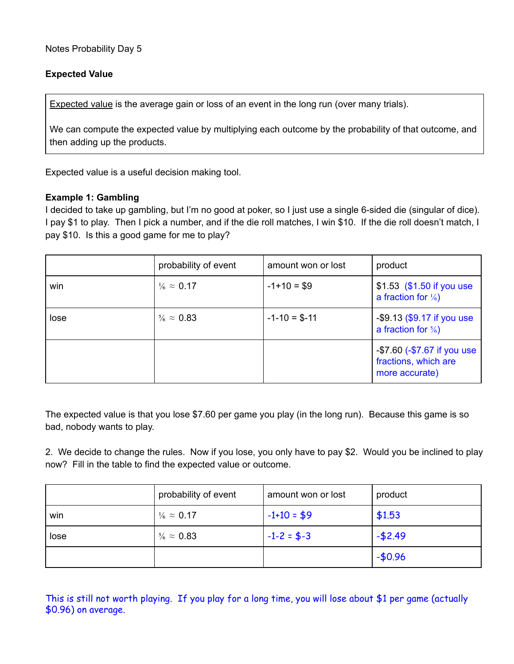## **Expected Value**

**Expected value** is the average gain or loss of an event in the long run (over many trials).

We can compute the expected value by multiplying each outcome by the probability of that outcome, and then adding up the products.

Expected value is a useful decision making tool.

## **Example 1: Gambling**

I decided to take up gambling, but I'm no good at poker, so I just use a single 6-sided die (singular of dice). I pay \$1 to play. Then I pick a number, and if the die roll matches, I win \$10. If the die roll doesn't match, I pay \$10. Is this a good game for me to play?

|      | probability of event       | amount won or lost | product                                                               |
|------|----------------------------|--------------------|-----------------------------------------------------------------------|
| win  | $\frac{1}{6} \approx 0.17$ | $-1+10=$ \$9       | \$1.53 $(\$1.50$ if you use<br>a fraction for $\frac{1}{6}$           |
| lose | $\frac{5}{6} \approx 0.83$ | $-1 - 10 = $-11$   | $-$ \$9.13 (\$9.17 if you use<br>a fraction for $\frac{5}{6}$         |
|      |                            |                    | -\$7.60 (-\$7.67 if you use<br>fractions, which are<br>more accurate) |

The expected value is that you lose \$7.60 per game you play (in the long run). Because this game is so bad, nobody wants to play.

2. We decide to change the rules. Now if you lose, you only have to pay \$2. Would you be inclined to play now? Fill in the table to find the expected value or outcome.

|      | probability of event       | amount won or lost | product  |
|------|----------------------------|--------------------|----------|
| win  | $\frac{1}{6} \approx 0.17$ | $-1+10=$ \$9       | \$1.53   |
| lose | $\frac{5}{6} \approx 0.83$ | $-1-2 = $-3$       | $-52.49$ |
|      |                            |                    | $-50.96$ |

This is still not worth playing. If you play for a long time, you will lose about \$1 per game (actually \$0.96) on average.